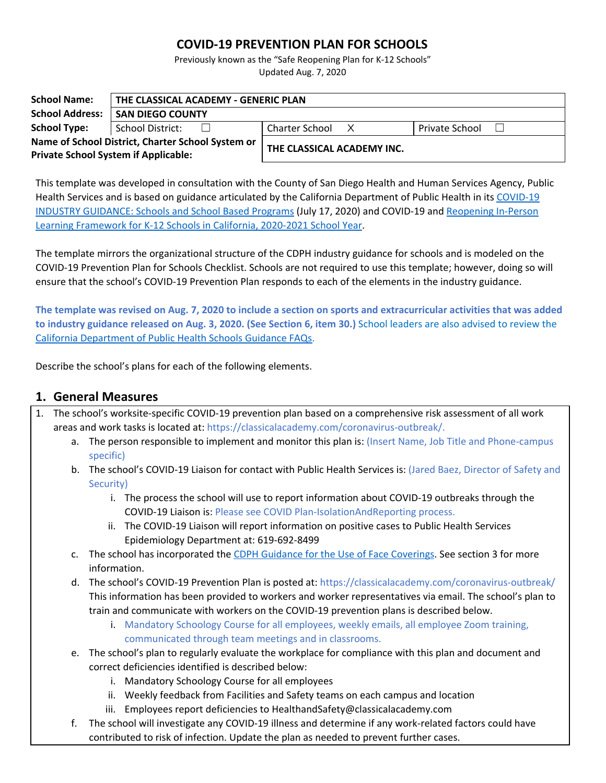## **COVID-19 PREVENTION PLAN FOR SCHOOLS**

Previously known as the "Safe Reopening Plan for K-12 Schools" Updated Aug. 7, 2020

| <b>School Name:</b>                                                                              | THE CLASSICAL ACADEMY - GENERIC PLAN |                            |                       |  |  |
|--------------------------------------------------------------------------------------------------|--------------------------------------|----------------------------|-----------------------|--|--|
| <b>School Address:</b>                                                                           | <b>SAN DIEGO COUNTY</b>              |                            |                       |  |  |
| <b>School Type:</b>                                                                              | School District:<br>$\perp$          | Charter School X           | <b>Private School</b> |  |  |
| Name of School District, Charter School System or<br><b>Private School System if Applicable:</b> |                                      | THE CLASSICAL ACADEMY INC. |                       |  |  |

This template was developed in consultation with the County of San Diego Health and Human Services Agency, Public Health Services and is based on guidance articulated by the California Department of Public Health in its [COVID-19](https://covid19.ca.gov/pdf/guidance-schools.pdf) INDUSTRY [GUIDANCE:](https://covid19.ca.gov/pdf/guidance-schools.pdf) Schools and School Based Programs (July 17, 2020) and COVID-19 and [Reopening](https://www.cdph.ca.gov/programs/cid/dcdc/cdph%20document%20library/covid-19/schools%20reopening%20recommendations.pdf) In-Person Learning [Framework](https://www.cdph.ca.gov/programs/cid/dcdc/cdph%20document%20library/covid-19/schools%20reopening%20recommendations.pdf) for K-12 Schools in California, 2020-2021 School Year.

The template mirrors the organizational structure of the CDPH industry guidance for schools and is modeled on the COVID-19 Prevention Plan for Schools Checklist. Schools are not required to use this template; however, doing so will ensure that the school's COVID-19 Prevention Plan responds to each of the elements in the industry guidance.

The template was revised on Aug. 7, 2020 to include a section on sports and extracurricular activities that was added **to industry guidance released on Aug. 3, 2020. (See Section 6, item 30.)** School leaders are also advised to review the California [Department](https://www.cdph.ca.gov/Programs/CID/DCDC/Pages/COVID-19/Schools-FAQ.aspx) of Public Health Schools Guidance FAQs.

Describe the school's plans for each of the following elements.

### **1. General Measures**

- 1. The school's worksite-specific COVID-19 prevention plan based on a comprehensive risk assessment of all work areas and work tasks is located at: https://classicalacademy.com/coronavirus-outbreak/.
	- a. The person responsible to implement and monitor this plan is: (Insert Name, Job Title and Phone-campus specific)
	- b. The school's COVID-19 Liaison for contact with Public Health Services is: (Jared Baez, Director of Safety and Security)
		- i. The process the school will use to report information about COVID-19 outbreaks through the COVID-19 Liaison is: Please see COVID Plan-IsolationAndReporting process.
		- ii. The COVID-19 Liaison will report information on positive cases to Public Health Services Epidemiology Department at: 619-692-8499
	- c. The school has incorporated the CDPH Guidance for the Use of Face [Coverings](https://www.cdph.ca.gov/Programs/CID/DCDC/CDPH%20Document%20Library/COVID-19/Guidance-for-Face-Coverings_06-18-2020.pdf). See section 3 for more information.
	- d. The school's COVID-19 Prevention Plan is posted at: https://classicalacademy.com/coronavirus-outbreak/ This information has been provided to workers and worker representatives via email. The school's plan to train and communicate with workers on the COVID-19 prevention plans is described below.
		- i. Mandatory Schoology Course for all employees, weekly emails, all employee Zoom training, communicated through team meetings and in classrooms.
	- e. The school's plan to regularly evaluate the workplace for compliance with this plan and document and correct deficiencies identified is described below:
		- i. Mandatory Schoology Course for all employees
		- ii. Weekly feedback from Facilities and Safety teams on each campus and location
		- iii. Employees report deficiencies to HealthandSafety@classicalacademy.com
	- f. The school will investigate any COVID-19 illness and determine if any work-related factors could have contributed to risk of infection. Update the plan as needed to prevent further cases.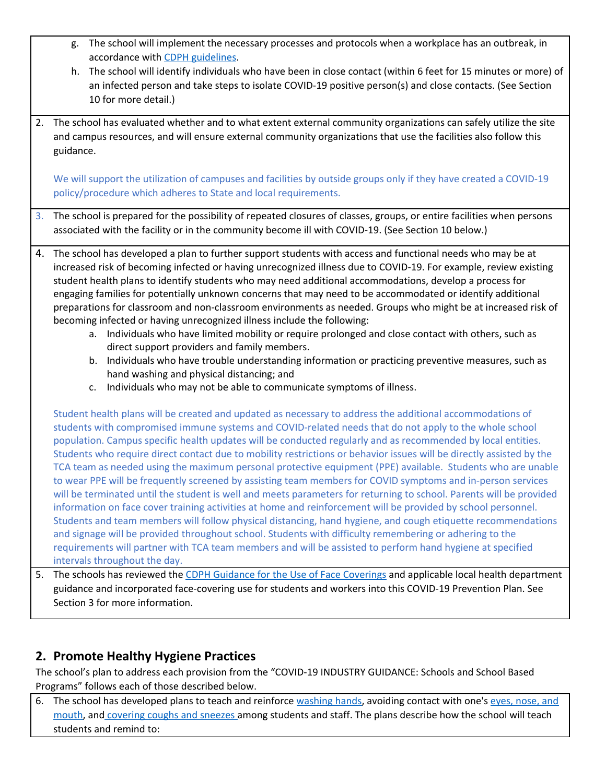- g. The school will implement the necessary processes and protocols when a workplace has an outbreak, in accordance with CDPH [guidelines](https://www.cdph.ca.gov/Programs/CID/DCDC/Pages/COVID-19/Workplace-Outbreak-Employer-Guidance.aspx).
- h. The school will identify individuals who have been in close contact (within 6 feet for 15 minutes or more) of an infected person and take steps to isolate COVID-19 positive person(s) and close contacts. (See Section 10 for more detail.)
- 2. The school has evaluated whether and to what extent external community organizations can safely utilize the site and campus resources, and will ensure external community organizations that use the facilities also follow this guidance.

We will support the utilization of campuses and facilities by outside groups only if they have created a COVID-19 policy/procedure which adheres to State and local requirements.

3. The school is prepared for the possibility of repeated closures of classes, groups, or entire facilities when persons associated with the facility or in the community become ill with COVID-19. (See Section 10 below.)

- 4. The school has developed a plan to further support students with access and functional needs who may be at increased risk of becoming infected or having unrecognized illness due to COVID-19. For example, review existing student health plans to identify students who may need additional accommodations, develop a process for engaging families for potentially unknown concerns that may need to be accommodated or identify additional preparations for classroom and non-classroom environments as needed. Groups who might be at increased risk of becoming infected or having unrecognized illness include the following:
	- a. Individuals who have limited mobility or require prolonged and close contact with others, such as direct support providers and family members.
	- b. Individuals who have trouble understanding information or practicing preventive measures, such as hand washing and physical distancing; and
	- c. Individuals who may not be able to communicate symptoms of illness.

Student health plans will be created and updated as necessary to address the additional accommodations of students with compromised immune systems and COVID-related needs that do not apply to the whole school population. Campus specific health updates will be conducted regularly and as recommended by local entities. Students who require direct contact due to mobility restrictions or behavior issues will be directly assisted by the TCA team as needed using the maximum personal protective equipment (PPE) available. Students who are unable to wear PPE will be frequently screened by assisting team members for COVID symptoms and in-person services will be terminated until the student is well and meets parameters for returning to school. Parents will be provided information on face cover training activities at home and reinforcement will be provided by school personnel. Students and team members will follow physical distancing, hand hygiene, and cough etiquette recommendations and signage will be provided throughout school. Students with difficulty remembering or adhering to the requirements will partner with TCA team members and will be assisted to perform hand hygiene at specified intervals throughout the day.

5. The schools has reviewed the CDPH Guidance for the Use of Face [Coverings](https://www.cdph.ca.gov/Programs/CID/DCDC/CDPH%20Document%20Library/COVID-19/Guidance-for-Face-Coverings_06-18-2020.pdf) and applicable local health department guidance and incorporated face-covering use for students and workers into this COVID-19 Prevention Plan. See Section 3 for more information.

# **2. Promote Healthy Hygiene Practices**

The school's plan to address each provision from the "COVID-19 INDUSTRY GUIDANCE: Schools and School Based Programs" follows each of those described below.

6. The school has developed plans to teach and reinforce [washing](https://www.cdc.gov/handwashing/index.html) hands, avoiding contact with one's eyes, [nose,](https://www.cdc.gov/coronavirus/2019-ncov/prevent-getting-sick/prevention-H.pdf) and [mouth,](https://www.cdc.gov/coronavirus/2019-ncov/prevent-getting-sick/prevention-H.pdf) and [covering](https://www.cdc.gov/healthywater/hygiene/etiquette/coughing_sneezing.html) coughs and sneezes among students and staff. The plans describe how the school will teach students and remind to: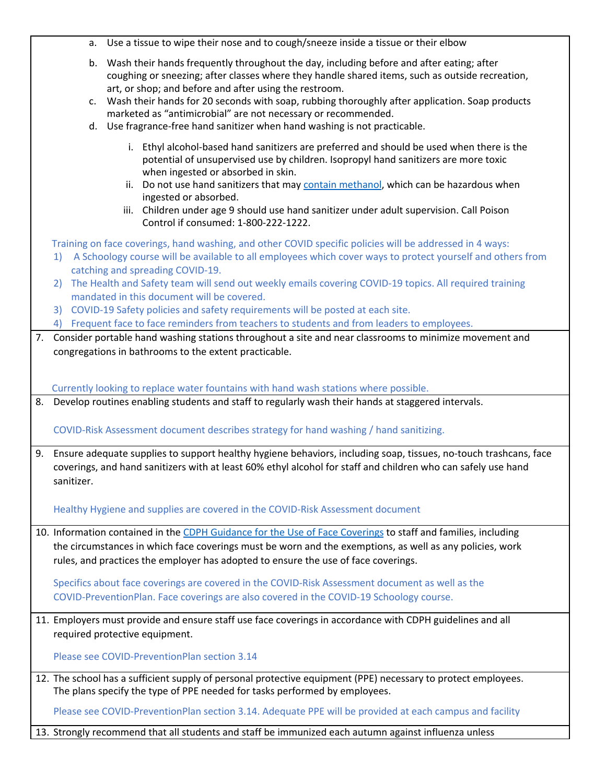|    |                                                                                                                                                                                                                                                    | a. Use a tissue to wipe their nose and to cough/sneeze inside a tissue or their elbow                                                                                                                                                                                                                                                                                                                                                                                                                                                                                                                 |  |  |  |
|----|----------------------------------------------------------------------------------------------------------------------------------------------------------------------------------------------------------------------------------------------------|-------------------------------------------------------------------------------------------------------------------------------------------------------------------------------------------------------------------------------------------------------------------------------------------------------------------------------------------------------------------------------------------------------------------------------------------------------------------------------------------------------------------------------------------------------------------------------------------------------|--|--|--|
|    |                                                                                                                                                                                                                                                    | b. Wash their hands frequently throughout the day, including before and after eating; after<br>coughing or sneezing; after classes where they handle shared items, such as outside recreation,<br>art, or shop; and before and after using the restroom.<br>c. Wash their hands for 20 seconds with soap, rubbing thoroughly after application. Soap products<br>marketed as "antimicrobial" are not necessary or recommended.<br>d. Use fragrance-free hand sanitizer when hand washing is not practicable.                                                                                          |  |  |  |
|    |                                                                                                                                                                                                                                                    | i. Ethyl alcohol-based hand sanitizers are preferred and should be used when there is the<br>potential of unsupervised use by children. Isopropyl hand sanitizers are more toxic<br>when ingested or absorbed in skin.<br>Do not use hand sanitizers that may contain methanol, which can be hazardous when<br>ii.<br>ingested or absorbed.<br>Children under age 9 should use hand sanitizer under adult supervision. Call Poison<br>iii.<br>Control if consumed: 1-800-222-1222.                                                                                                                    |  |  |  |
|    | 1)<br>2)                                                                                                                                                                                                                                           | Training on face coverings, hand washing, and other COVID specific policies will be addressed in 4 ways:<br>A Schoology course will be available to all employees which cover ways to protect yourself and others from<br>catching and spreading COVID-19.<br>The Health and Safety team will send out weekly emails covering COVID-19 topics. All required training<br>mandated in this document will be covered.<br>3) COVID-19 Safety policies and safety requirements will be posted at each site.<br>4) Frequent face to face reminders from teachers to students and from leaders to employees. |  |  |  |
| 7. |                                                                                                                                                                                                                                                    | Consider portable hand washing stations throughout a site and near classrooms to minimize movement and                                                                                                                                                                                                                                                                                                                                                                                                                                                                                                |  |  |  |
|    | congregations in bathrooms to the extent practicable.<br>Currently looking to replace water fountains with hand wash stations where possible.                                                                                                      |                                                                                                                                                                                                                                                                                                                                                                                                                                                                                                                                                                                                       |  |  |  |
|    |                                                                                                                                                                                                                                                    | 8. Develop routines enabling students and staff to regularly wash their hands at staggered intervals.                                                                                                                                                                                                                                                                                                                                                                                                                                                                                                 |  |  |  |
|    |                                                                                                                                                                                                                                                    | COVID-Risk Assessment document describes strategy for hand washing / hand sanitizing.                                                                                                                                                                                                                                                                                                                                                                                                                                                                                                                 |  |  |  |
|    | 9. Ensure adequate supplies to support healthy hygiene behaviors, including soap, tissues, no-touch trashcans, face<br>coverings, and hand sanitizers with at least 60% ethyl alcohol for staff and children who can safely use hand<br>sanitizer. |                                                                                                                                                                                                                                                                                                                                                                                                                                                                                                                                                                                                       |  |  |  |
|    |                                                                                                                                                                                                                                                    | Healthy Hygiene and supplies are covered in the COVID-Risk Assessment document                                                                                                                                                                                                                                                                                                                                                                                                                                                                                                                        |  |  |  |
|    |                                                                                                                                                                                                                                                    | 10. Information contained in the CDPH Guidance for the Use of Face Coverings to staff and families, including<br>the circumstances in which face coverings must be worn and the exemptions, as well as any policies, work<br>rules, and practices the employer has adopted to ensure the use of face coverings.                                                                                                                                                                                                                                                                                       |  |  |  |
|    |                                                                                                                                                                                                                                                    | Specifics about face coverings are covered in the COVID-Risk Assessment document as well as the<br>COVID-PreventionPlan. Face coverings are also covered in the COVID-19 Schoology course.                                                                                                                                                                                                                                                                                                                                                                                                            |  |  |  |
|    |                                                                                                                                                                                                                                                    | 11. Employers must provide and ensure staff use face coverings in accordance with CDPH guidelines and all<br>required protective equipment.                                                                                                                                                                                                                                                                                                                                                                                                                                                           |  |  |  |
|    |                                                                                                                                                                                                                                                    | Please see COVID-PreventionPlan section 3.14                                                                                                                                                                                                                                                                                                                                                                                                                                                                                                                                                          |  |  |  |
|    |                                                                                                                                                                                                                                                    | 12. The school has a sufficient supply of personal protective equipment (PPE) necessary to protect employees.<br>The plans specify the type of PPE needed for tasks performed by employees.                                                                                                                                                                                                                                                                                                                                                                                                           |  |  |  |
|    |                                                                                                                                                                                                                                                    | Please see COVID-PreventionPlan section 3.14. Adequate PPE will be provided at each campus and facility                                                                                                                                                                                                                                                                                                                                                                                                                                                                                               |  |  |  |
|    |                                                                                                                                                                                                                                                    | 13. Strongly recommend that all students and staff be immunized each autumn against influenza unless                                                                                                                                                                                                                                                                                                                                                                                                                                                                                                  |  |  |  |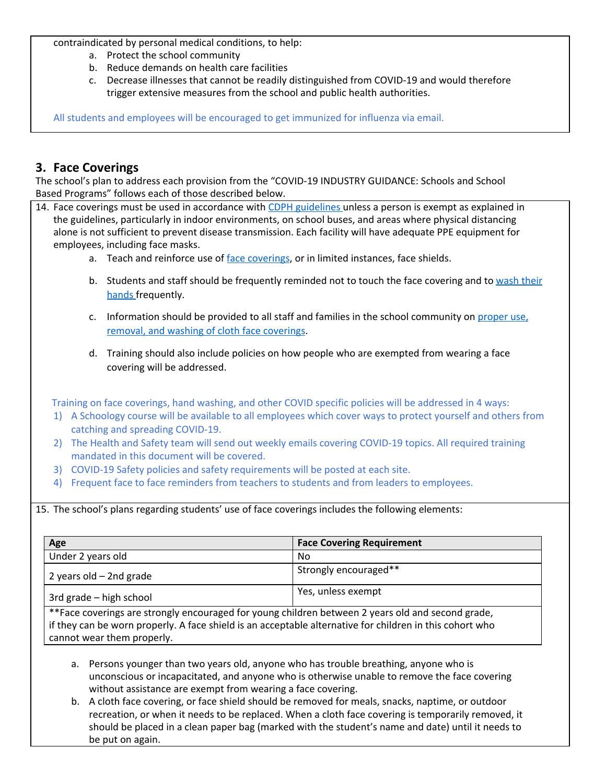contraindicated by personal medical conditions, to help:

- a. Protect the school community
- b. Reduce demands on health care facilities
- c. Decrease illnesses that cannot be readily distinguished from COVID-19 and would therefore trigger extensive measures from the school and public health authorities.

All students and employees will be encouraged to get immunized for influenza via email.

### **3. Face Coverings**

The school's plan to address each provision from the "COVID-19 INDUSTRY GUIDANCE: Schools and School Based Programs" follows each of those described below.

- 14. Face coverings must be used in accordance with CDPH [guidelines](https://www.cdph.ca.gov/Programs/CID/DCDC/CDPH%20Document%20Library/COVID-19/Guidance-for-Face-Coverings_06-18-2020.pdf) unless a person is exempt as explained in the guidelines, particularly in indoor environments, on school buses, and areas where physical distancing alone is not sufficient to prevent disease transmission. Each facility will have adequate PPE equipment for employees, including face masks.
	- a. Teach and reinforce use of face [coverings](https://www.cdc.gov/coronavirus/2019-ncov/prevent-getting-sick/diy-cloth-face-coverings.html), or in limited instances, face shields.
	- b. Students and staff should be frequently reminded not to touch the face covering and to [wash](https://www.cdc.gov/handwashing/index.html) their [hands](https://www.cdc.gov/handwashing/index.html) frequently.
	- c. Information should be provided to all staff and families in the school community on [proper](https://www.cdc.gov/coronavirus/2019-ncov/prevent-getting-sick/diy-cloth-face-coverings.html) use, removal, and washing of cloth face [coverings](https://www.cdc.gov/coronavirus/2019-ncov/prevent-getting-sick/diy-cloth-face-coverings.html).
	- d. Training should also include policies on how people who are exempted from wearing a face covering will be addressed.

Training on face coverings, hand washing, and other COVID specific policies will be addressed in 4 ways:

- 1) A Schoology course will be available to all employees which cover ways to protect yourself and others from catching and spreading COVID-19.
- 2) The Health and Safety team will send out weekly emails covering COVID-19 topics. All required training mandated in this document will be covered.
- 3) COVID-19 Safety policies and safety requirements will be posted at each site.
- 4) Frequent face to face reminders from teachers to students and from leaders to employees.

15. The school's plans regarding students' use of face coverings includes the following elements:

| Age                       | <b>Face Covering Requirement</b> |
|---------------------------|----------------------------------|
| Under 2 years old         | No                               |
| 2 years old $-$ 2nd grade | Strongly encouraged**            |
| 3rd grade – high school   | Yes, unless exempt               |
| $*F$                      |                                  |

rings are strongly encouraged for young children between 2 years old and second grade, if they can be worn properly. A face shield is an acceptable alternative for children in this cohort who cannot wear them properly.

- a. Persons younger than two years old, anyone who has trouble breathing, anyone who is unconscious or incapacitated, and anyone who is otherwise unable to remove the face covering without assistance are exempt from wearing a face covering.
- b. A cloth face covering, or face shield should be removed for meals, snacks, naptime, or outdoor recreation, or when it needs to be replaced. When a cloth face covering is temporarily removed, it should be placed in a clean paper bag (marked with the student's name and date) until it needs to be put on again.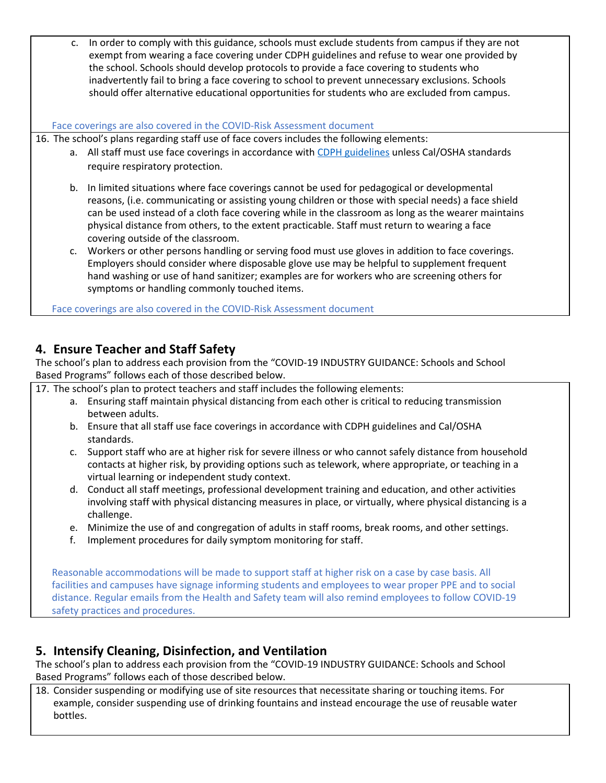c. In order to comply with this guidance, schools must exclude students from campus if they are not exempt from wearing a face covering under CDPH guidelines and refuse to wear one provided by the school. Schools should develop protocols to provide a face covering to students who inadvertently fail to bring a face covering to school to prevent unnecessary exclusions. Schools should offer alternative educational opportunities for students who are excluded from campus.

#### Face coverings are also covered in the COVID-Risk Assessment document

16. The school's plans regarding staff use of face covers includes the following elements:

- a. All staff must use face coverings in accordance with CDPH [guidelines](https://www.cdph.ca.gov/Programs/CID/DCDC/CDPH%20Document%20Library/COVID-19/Guidance-for-Face-Coverings_06-18-2020.pdf) unless Cal/OSHA standards require respiratory protection.
- b. In limited situations where face coverings cannot be used for pedagogical or developmental reasons, (i.e. communicating or assisting young children or those with special needs) a face shield can be used instead of a cloth face covering while in the classroom as long as the wearer maintains physical distance from others, to the extent practicable. Staff must return to wearing a face covering outside of the classroom.
- c. Workers or other persons handling or serving food must use gloves in addition to face coverings. Employers should consider where disposable glove use may be helpful to supplement frequent hand washing or use of hand sanitizer; examples are for workers who are screening others for symptoms or handling commonly touched items.

Face coverings are also covered in the COVID-Risk Assessment document

## **4. Ensure Teacher and Staff Safety**

The school's plan to address each provision from the "COVID-19 INDUSTRY GUIDANCE: Schools and School Based Programs" follows each of those described below.

17. The school's plan to protect teachers and staff includes the following elements:

- a. Ensuring staff maintain physical distancing from each other is critical to reducing transmission between adults.
- b. Ensure that all staff use face coverings in accordance with CDPH guidelines and Cal/OSHA standards.
- c. Support staff who are at higher risk for severe illness or who cannot safely distance from household contacts at higher risk, by providing options such as telework, where appropriate, or teaching in a virtual learning or independent study context.
- d. Conduct all staff meetings, professional development training and education, and other activities involving staff with physical distancing measures in place, or virtually, where physical distancing is a challenge.
- e. Minimize the use of and congregation of adults in staff rooms, break rooms, and other settings.
- f. Implement procedures for daily symptom monitoring for staff.

Reasonable accommodations will be made to support staff at higher risk on a case by case basis. All facilities and campuses have signage informing students and employees to wear proper PPE and to social distance. Regular emails from the Health and Safety team will also remind employees to follow COVID-19 safety practices and procedures.

## **5. Intensify Cleaning, Disinfection, and Ventilation**

The school's plan to address each provision from the "COVID-19 INDUSTRY GUIDANCE: Schools and School Based Programs" follows each of those described below.

18. Consider suspending or modifying use of site resources that necessitate sharing or touching items. For example, consider suspending use of drinking fountains and instead encourage the use of reusable water bottles.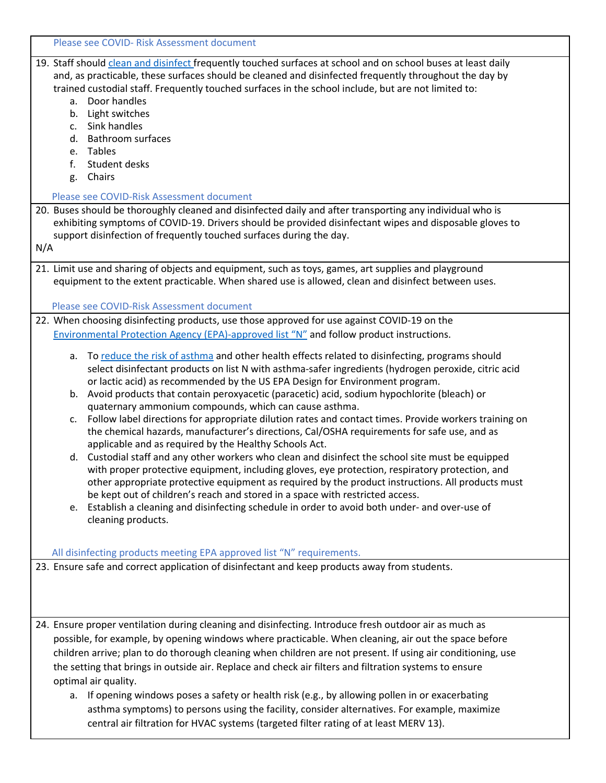| Please see COVID- Risk Assessment document                                                                                                                                                                                                                                                                                                                                                                                                                                                                                                                                                                                                                                                                                                                                                                                                                                                                                                                                                                                                                                                                                                                                                                                                                                                                                   |
|------------------------------------------------------------------------------------------------------------------------------------------------------------------------------------------------------------------------------------------------------------------------------------------------------------------------------------------------------------------------------------------------------------------------------------------------------------------------------------------------------------------------------------------------------------------------------------------------------------------------------------------------------------------------------------------------------------------------------------------------------------------------------------------------------------------------------------------------------------------------------------------------------------------------------------------------------------------------------------------------------------------------------------------------------------------------------------------------------------------------------------------------------------------------------------------------------------------------------------------------------------------------------------------------------------------------------|
| 19. Staff should clean and disinfect frequently touched surfaces at school and on school buses at least daily<br>and, as practicable, these surfaces should be cleaned and disinfected frequently throughout the day by<br>trained custodial staff. Frequently touched surfaces in the school include, but are not limited to:<br>a. Door handles<br>b. Light switches<br>c. Sink handles<br><b>Bathroom surfaces</b><br>d.<br>e. Tables<br>Student desks<br>f.<br>g. Chairs<br>Please see COVID-Risk Assessment document<br>20. Buses should be thoroughly cleaned and disinfected daily and after transporting any individual who is<br>exhibiting symptoms of COVID-19. Drivers should be provided disinfectant wipes and disposable gloves to<br>support disinfection of frequently touched surfaces during the day.<br>N/A                                                                                                                                                                                                                                                                                                                                                                                                                                                                                              |
| 21. Limit use and sharing of objects and equipment, such as toys, games, art supplies and playground                                                                                                                                                                                                                                                                                                                                                                                                                                                                                                                                                                                                                                                                                                                                                                                                                                                                                                                                                                                                                                                                                                                                                                                                                         |
| equipment to the extent practicable. When shared use is allowed, clean and disinfect between uses.<br>Please see COVID-Risk Assessment document                                                                                                                                                                                                                                                                                                                                                                                                                                                                                                                                                                                                                                                                                                                                                                                                                                                                                                                                                                                                                                                                                                                                                                              |
| 22. When choosing disinfecting products, use those approved for use against COVID-19 on the                                                                                                                                                                                                                                                                                                                                                                                                                                                                                                                                                                                                                                                                                                                                                                                                                                                                                                                                                                                                                                                                                                                                                                                                                                  |
| Environmental Protection Agency (EPA)-approved list "N" and follow product instructions.                                                                                                                                                                                                                                                                                                                                                                                                                                                                                                                                                                                                                                                                                                                                                                                                                                                                                                                                                                                                                                                                                                                                                                                                                                     |
| To reduce the risk of asthma and other health effects related to disinfecting, programs should<br>а.<br>select disinfectant products on list N with asthma-safer ingredients (hydrogen peroxide, citric acid<br>or lactic acid) as recommended by the US EPA Design for Environment program.<br>b. Avoid products that contain peroxyacetic (paracetic) acid, sodium hypochlorite (bleach) or<br>quaternary ammonium compounds, which can cause asthma.<br>c. Follow label directions for appropriate dilution rates and contact times. Provide workers training on<br>the chemical hazards, manufacturer's directions, Cal/OSHA requirements for safe use, and as<br>applicable and as required by the Healthy Schools Act.<br>d. Custodial staff and any other workers who clean and disinfect the school site must be equipped<br>with proper protective equipment, including gloves, eye protection, respiratory protection, and<br>other appropriate protective equipment as required by the product instructions. All products must<br>be kept out of children's reach and stored in a space with restricted access.<br>e. Establish a cleaning and disinfecting schedule in order to avoid both under- and over-use of<br>cleaning products.<br>All disinfecting products meeting EPA approved list "N" requirements. |
| 23. Ensure safe and correct application of disinfectant and keep products away from students.                                                                                                                                                                                                                                                                                                                                                                                                                                                                                                                                                                                                                                                                                                                                                                                                                                                                                                                                                                                                                                                                                                                                                                                                                                |
| 24. Ensure proper ventilation during cleaning and disinfecting. Introduce fresh outdoor air as much as<br>possible, for example, by opening windows where practicable. When cleaning, air out the space before<br>children arrive; plan to do thorough cleaning when children are not present. If using air conditioning, use<br>the setting that brings in outside air. Replace and check air filters and filtration systems to ensure<br>optimal air quality.                                                                                                                                                                                                                                                                                                                                                                                                                                                                                                                                                                                                                                                                                                                                                                                                                                                              |
| a. If opening windows poses a safety or health risk (e.g., by allowing pollen in or exacerbating                                                                                                                                                                                                                                                                                                                                                                                                                                                                                                                                                                                                                                                                                                                                                                                                                                                                                                                                                                                                                                                                                                                                                                                                                             |
| asthma symptoms) to persons using the facility, consider alternatives. For example, maximize<br>central air filtration for HVAC systems (targeted filter rating of at least MERV 13).                                                                                                                                                                                                                                                                                                                                                                                                                                                                                                                                                                                                                                                                                                                                                                                                                                                                                                                                                                                                                                                                                                                                        |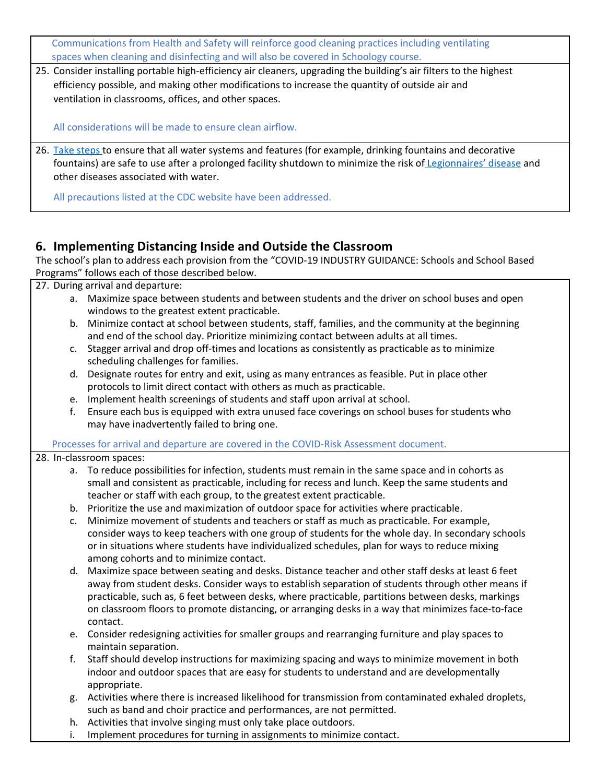Communications from Health and Safety will reinforce good cleaning practices including ventilating spaces when cleaning and disinfecting and will also be covered in Schoology course.

25. Consider installing portable high-efficiency air cleaners, upgrading the building's air filters to the highest efficiency possible, and making other modifications to increase the quantity of outside air and ventilation in classrooms, offices, and other spaces.

All considerations will be made to ensure clean airflow.

26. Take [steps](https://www.cdc.gov/coronavirus/2019-ncov/php/building-water-system.html) to ensure that all water systems and features (for example, drinking fountains and decorative fountains) are safe to use after a prolonged facility shutdown to minimize the risk of [Legionnaires'](https://www.cdc.gov/legionella/index.html) disease and other diseases associated with water.

All precautions listed at the CDC website have been addressed.

## **6. Implementing Distancing Inside and Outside the Classroom**

The school's plan to address each provision from the "COVID-19 INDUSTRY GUIDANCE: Schools and School Based Programs" follows each of those described below.

27. During arrival and departure:

- a. Maximize space between students and between students and the driver on school buses and open windows to the greatest extent practicable.
- b. Minimize contact at school between students, staff, families, and the community at the beginning and end of the school day. Prioritize minimizing contact between adults at all times.
- c. Stagger arrival and drop off-times and locations as consistently as practicable as to minimize scheduling challenges for families.
- d. Designate routes for entry and exit, using as many entrances as feasible. Put in place other protocols to limit direct contact with others as much as practicable.
- e. Implement health screenings of students and staff upon arrival at school.
- f. Ensure each bus is equipped with extra unused face coverings on school buses for students who may have inadvertently failed to bring one.

Processes for arrival and departure are covered in the COVID-Risk Assessment document.

#### 28. In-classroom spaces:

- a. To reduce possibilities for infection, students must remain in the same space and in cohorts as small and consistent as practicable, including for recess and lunch. Keep the same students and teacher or staff with each group, to the greatest extent practicable.
- b. Prioritize the use and maximization of outdoor space for activities where practicable.
- c. Minimize movement of students and teachers or staff as much as practicable. For example, consider ways to keep teachers with one group of students for the whole day. In secondary schools or in situations where students have individualized schedules, plan for ways to reduce mixing among cohorts and to minimize contact.
- d. Maximize space between seating and desks. Distance teacher and other staff desks at least 6 feet away from student desks. Consider ways to establish separation of students through other means if practicable, such as, 6 feet between desks, where practicable, partitions between desks, markings on classroom floors to promote distancing, or arranging desks in a way that minimizes face-to-face contact.
- e. Consider redesigning activities for smaller groups and rearranging furniture and play spaces to maintain separation.
- f. Staff should develop instructions for maximizing spacing and ways to minimize movement in both indoor and outdoor spaces that are easy for students to understand and are developmentally appropriate.
- g. Activities where there is increased likelihood for transmission from contaminated exhaled droplets, such as band and choir practice and performances, are not permitted.
- h. Activities that involve singing must only take place outdoors.
- i. Implement procedures for turning in assignments to minimize contact.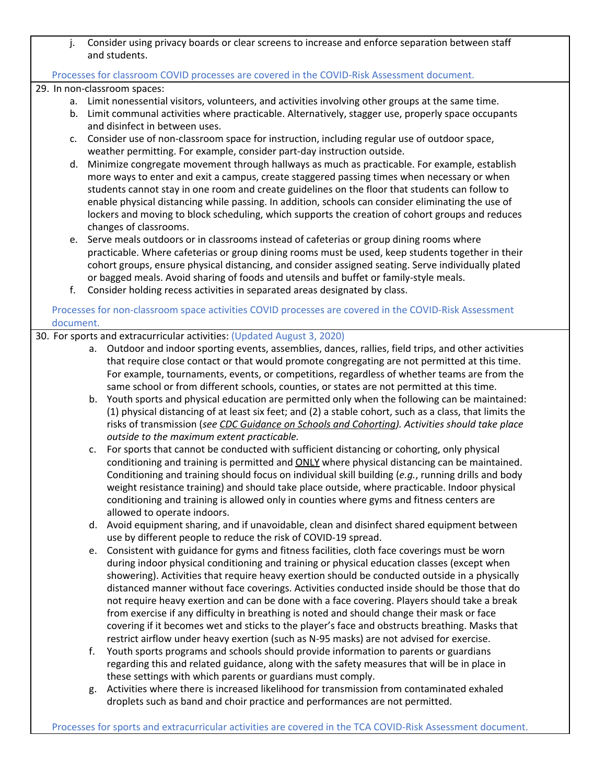j. Consider using privacy boards or clear screens to increase and enforce separation between staff and students.

#### Processes for classroom COVID processes are covered in the COVID-Risk Assessment document.

29. In non-classroom spaces:

- a. Limit nonessential visitors, volunteers, and activities involving other groups at the same time.
- b. Limit communal activities where practicable. Alternatively, stagger use, properly space occupants and disinfect in between uses.
- c. Consider use of non-classroom space for instruction, including regular use of outdoor space, weather permitting. For example, consider part-day instruction outside.
- d. Minimize congregate movement through hallways as much as practicable. For example, establish more ways to enter and exit a campus, create staggered passing times when necessary or when students cannot stay in one room and create guidelines on the floor that students can follow to enable physical distancing while passing. In addition, schools can consider eliminating the use of lockers and moving to block scheduling, which supports the creation of cohort groups and reduces changes of classrooms.
- e. Serve meals outdoors or in classrooms instead of cafeterias or group dining rooms where practicable. Where cafeterias or group dining rooms must be used, keep students together in their cohort groups, ensure physical distancing, and consider assigned seating. Serve individually plated or bagged meals. Avoid sharing of foods and utensils and buffet or family-style meals.
- f. Consider holding recess activities in separated areas designated by class.

Processes for non-classroom space activities COVID processes are covered in the COVID-Risk Assessment document.

#### 30. For sports and extracurricular activities: (Updated August 3, 2020)

- a. Outdoor and indoor sporting events, assemblies, dances, rallies, field trips, and other activities that require close contact or that would promote congregating are not permitted at this time. For example, tournaments, events, or competitions, regardless of whether teams are from the same school or from different schools, counties, or states are not permitted at this time.
- b. Youth sports and physical education are permitted only when the following can be maintained: (1) physical distancing of at least six feet; and (2) a stable cohort, such as a class, that limits the risks of transmission (*see CDC Guidance on Schools and [Cohorting](https://www.cdc.gov/coronavirus/2019-ncov/community/schools-childcare/prepare-safe-return.html)). Activities should take place outside to the maximum extent practicable.*
- c. For sports that cannot be conducted with sufficient distancing or cohorting, only physical conditioning and training is permitted and **ONLY** where physical distancing can be maintained. Conditioning and training should focus on individual skill building (*e.g.*, running drills and body weight resistance training) and should take place outside, where practicable. Indoor physical conditioning and training is allowed only in counties where gyms and fitness centers are allowed to operate indoors.
- d. Avoid equipment sharing, and if unavoidable, clean and disinfect shared equipment between use by different people to reduce the risk of COVID-19 spread.
- e. Consistent with guidance for gyms and fitness facilities, cloth face coverings must be worn during indoor physical conditioning and training or physical education classes (except when showering). Activities that require heavy exertion should be conducted outside in a physically distanced manner without face coverings. Activities conducted inside should be those that do not require heavy exertion and can be done with a face covering. Players should take a break from exercise if any difficulty in breathing is noted and should change their mask or face covering if it becomes wet and sticks to the player's face and obstructs breathing. Masks that restrict airflow under heavy exertion (such as N-95 masks) are not advised for exercise.
- f. Youth sports programs and schools should provide information to parents or guardians regarding this and related guidance, along with the safety measures that will be in place in these settings with which parents or guardians must comply.
- g. Activities where there is increased likelihood for transmission from contaminated exhaled droplets such as band and choir practice and performances are not permitted.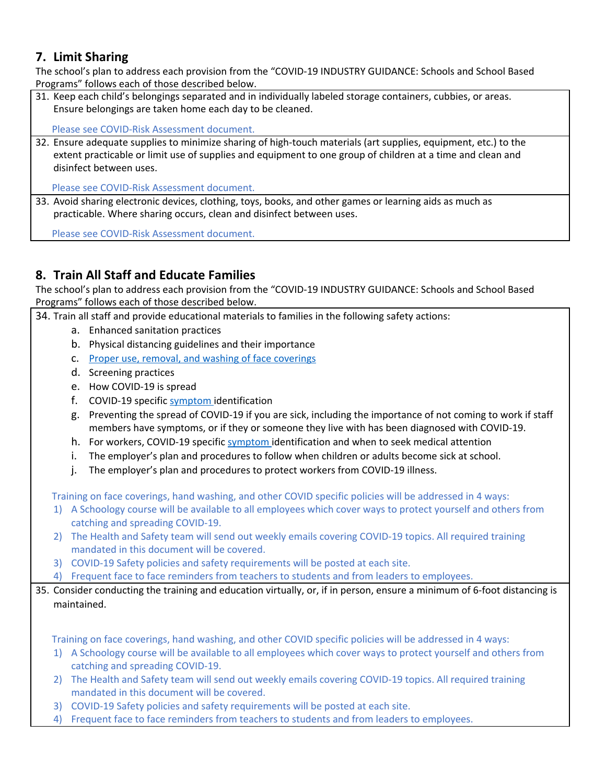## **7. Limit Sharing**

The school's plan to address each provision from the "COVID-19 INDUSTRY GUIDANCE: Schools and School Based Programs" follows each of those described below.

31. Keep each child's belongings separated and in individually labeled storage containers, cubbies, or areas. Ensure belongings are taken home each day to be cleaned.

Please see COVID-Risk Assessment document.

32. Ensure adequate supplies to minimize sharing of high-touch materials (art supplies, equipment, etc.) to the extent practicable or limit use of supplies and equipment to one group of children at a time and clean and disinfect between uses.

Please see COVID-Risk Assessment document.

33. Avoid sharing electronic devices, clothing, toys, books, and other games or learning aids as much as practicable. Where sharing occurs, clean and disinfect between uses.

Please see COVID-Risk Assessment document.

## **8. Train All Staff and Educate Families**

The school's plan to address each provision from the "COVID-19 INDUSTRY GUIDANCE: Schools and School Based Programs" follows each of those described below.

34. Train all staff and provide educational materials to families in the following safety actions:

- a. Enhanced sanitation practices
- b. Physical distancing guidelines and their importance
- c. Proper use, removal, and washing of face [coverings](https://www.cdc.gov/coronavirus/2019-ncov/prevent-getting-sick/diy-cloth-face-coverings.html)
- d. Screening practices
- e. How COVID-19 is spread
- f. COVID-19 specific [symptom](https://www.cdc.gov/coronavirus/2019-ncov/symptoms-testing/symptoms.html) identification
- g. Preventing the spread of COVID-19 if you are sick, including the importance of not coming to work if staff members have symptoms, or if they or someone they live with has been diagnosed with COVID-19.
- h. For workers, COVID-19 specific [symptom](https://www.cdc.gov/coronavirus/2019-ncov/symptoms-testing/symptoms.html) identification and when to seek medical attention
- i. The employer's plan and procedures to follow when children or adults become sick at school.
- j. The employer's plan and procedures to protect workers from COVID-19 illness.

Training on face coverings, hand washing, and other COVID specific policies will be addressed in 4 ways:

- 1) A Schoology course will be available to all employees which cover ways to protect yourself and others from catching and spreading COVID-19.
- 2) The Health and Safety team will send out weekly emails covering COVID-19 topics. All required training mandated in this document will be covered.
- 3) COVID-19 Safety policies and safety requirements will be posted at each site.
- 4) Frequent face to face reminders from teachers to students and from leaders to employees.
- 35. Consider conducting the training and education virtually, or, if in person, ensure a minimum of 6-foot distancing is maintained.

Training on face coverings, hand washing, and other COVID specific policies will be addressed in 4 ways:

- 1) A Schoology course will be available to all employees which cover ways to protect yourself and others from catching and spreading COVID-19.
- 2) The Health and Safety team will send out weekly emails covering COVID-19 topics. All required training mandated in this document will be covered.
- 3) COVID-19 Safety policies and safety requirements will be posted at each site.
- 4) Frequent face to face reminders from teachers to students and from leaders to employees.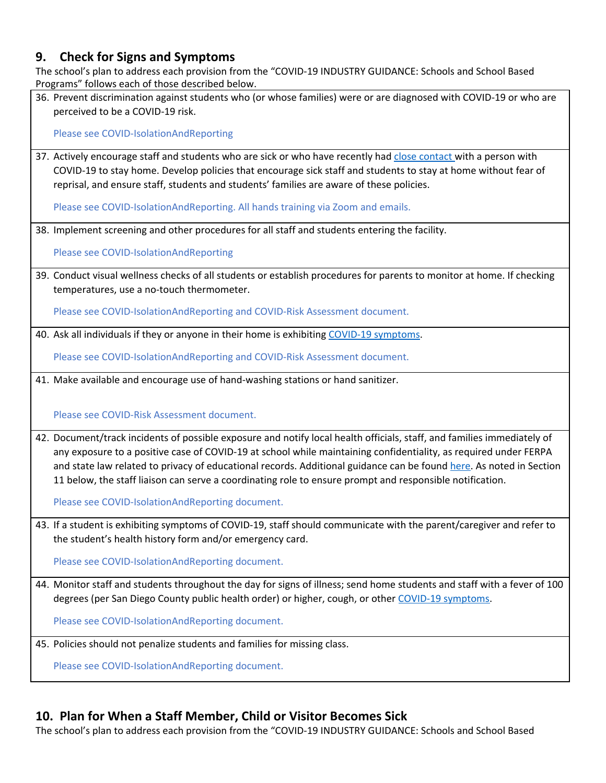## **9. Check for Signs and Symptoms**

The school's plan to address each provision from the "COVID-19 INDUSTRY GUIDANCE: Schools and School Based Programs" follows each of those described below.

36. Prevent discrimination against students who (or whose families) were or are diagnosed with COVID-19 or who are perceived to be a COVID-19 risk.

Please see COVID-IsolationAndReporting

37. Actively encourage staff and students who are sick or who have recently had close [contact](https://www.cdc.gov/coronavirus/2019-ncov/php/public-health-recommendations.html) with a person with COVID-19 to stay home. Develop policies that encourage sick staff and students to stay at home without fear of reprisal, and ensure staff, students and students' families are aware of these policies.

Please see COVID-IsolationAndReporting. All hands training via Zoom and emails.

38. Implement screening and other procedures for all staff and students entering the facility.

Please see COVID-IsolationAndReporting

39. Conduct visual wellness checks of all students or establish procedures for parents to monitor at home. If checking temperatures, use a no-touch thermometer.

Please see COVID-IsolationAndReporting and COVID-Risk Assessment document.

40. Ask all individuals if they or anyone in their home is exhibiting COVID-19 [symptoms](https://www.cdc.gov/coronavirus/2019-ncov/symptoms-testing/symptoms.html).

Please see COVID-IsolationAndReporting and COVID-Risk Assessment document.

41. Make available and encourage use of hand-washing stations or hand sanitizer.

Please see COVID-Risk Assessment document.

42. Document/track incidents of possible exposure and notify local health officials, staff, and families immediately of any exposure to a positive case of COVID-19 at school while maintaining confidentiality, as required under FERPA and state law related to privacy of educational records. Additional guidance can be found [here.](https://studentprivacy.ed.gov/sites/default/files/resource_document/file/FERPA%20and%20Coronavirus%20Frequently%20Asked%20Questions.pdf) As noted in Section 11 below, the staff liaison can serve a coordinating role to ensure prompt and responsible notification.

Please see COVID-IsolationAndReporting document.

43. If a student is exhibiting symptoms of COVID-19, staff should communicate with the parent/caregiver and refer to the student's health history form and/or emergency card.

Please see COVID-IsolationAndReporting document.

44. Monitor staff and students throughout the day for signs of illness; send home students and staff with a fever of 100 degrees (per San Diego County public health order) or higher, cough, or other COVID-19 [symptoms.](https://www.cdc.gov/coronavirus/2019-ncov/symptoms-testing/symptoms.html)

Please see COVID-IsolationAndReporting document.

45. Policies should not penalize students and families for missing class.

Please see COVID-IsolationAndReporting document.

## **10. Plan for When a Staff Member, Child or Visitor Becomes Sick**

The school's plan to address each provision from the "COVID-19 INDUSTRY GUIDANCE: Schools and School Based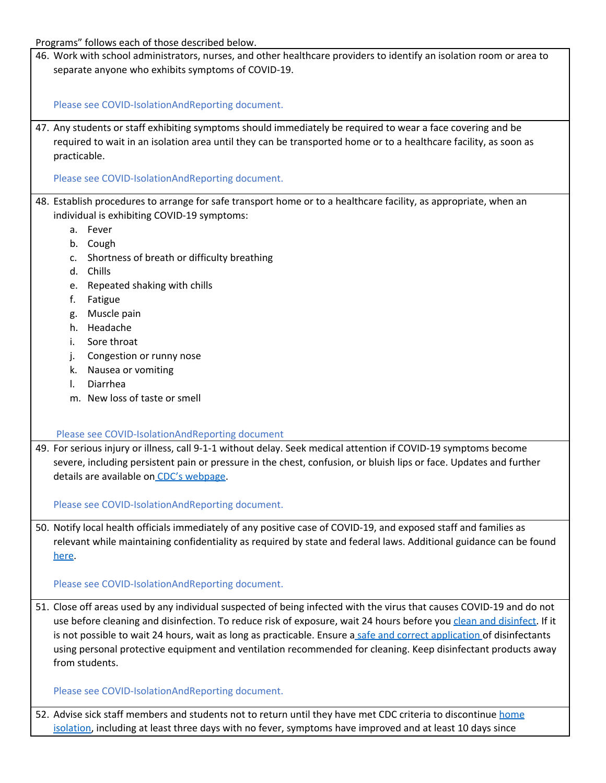Programs" follows each of those described below.

46. Work with school administrators, nurses, and other healthcare providers to identify an isolation room or area to separate anyone who exhibits symptoms of COVID-19.

Please see COVID-IsolationAndReporting document.

47. Any students or staff exhibiting symptoms should immediately be required to wear a face covering and be required to wait in an isolation area until they can be transported home or to a healthcare facility, as soon as practicable.

Please see COVID-IsolationAndReporting document.

- 48. Establish procedures to arrange for safe transport home or to a healthcare facility, as appropriate, when an individual is exhibiting COVID-19 symptoms:
	- a. Fever
	- b. Cough
	- c. Shortness of breath or difficulty breathing
	- d. Chills
	- e. Repeated shaking with chills
	- f. Fatigue
	- g. Muscle pain
	- h. Headache
	- i. Sore throat
	- j. Congestion or runny nose
	- k. Nausea or vomiting
	- l. Diarrhea
	- m. New loss of taste or smell

Please see COVID-IsolationAndReporting document

49. For serious injury or illness, call 9-1-1 without delay. Seek medical attention if COVID-19 symptoms become severe, including persistent pain or pressure in the chest, confusion, or bluish lips or face. Updates and further details are available on CDC's [webpage.](https://www.cdc.gov/coronavirus/2019-ncov/symptoms-testing/symptoms.html)

Please see COVID-IsolationAndReporting document.

50. Notify local health officials immediately of any positive case of COVID-19, and exposed staff and families as relevant while maintaining confidentiality as required by state and federal laws. Additional guidance can be found [here](https://studentprivacy.ed.gov/sites/default/files/resource_document/file/FERPA%20and%20Coronavirus%20Frequently%20Asked%20Questions.pdf).

Please see COVID-IsolationAndReporting document.

51. Close off areas used by any individual suspected of being infected with the virus that causes COVID-19 and do not use before cleaning and disinfection. To reduce risk of exposure, wait 24 hours before you clean and [disinfect.](https://www.cdc.gov/coronavirus/2019-ncov/community/organizations/cleaning-disinfection.html) If it is not possible to wait 24 hours, wait as long as practicable. Ensure a safe and correct [application](https://www.epa.gov/sites/production/files/2020-04/documents/disinfectants-onepager.pdf) of disinfectants using personal protective equipment and ventilation recommended for cleaning. Keep disinfectant products away from students.

Please see COVID-IsolationAndReporting document.

52. Advise sick staff members and students not to return until they have met CDC criteria to discontinue [home](https://www.cdc.gov/coronavirus/2019-ncov/if-you-are-sick/steps-when-sick.html) [isolation](https://www.cdc.gov/coronavirus/2019-ncov/if-you-are-sick/steps-when-sick.html), including at least three days with no fever, symptoms have improved and at least 10 days since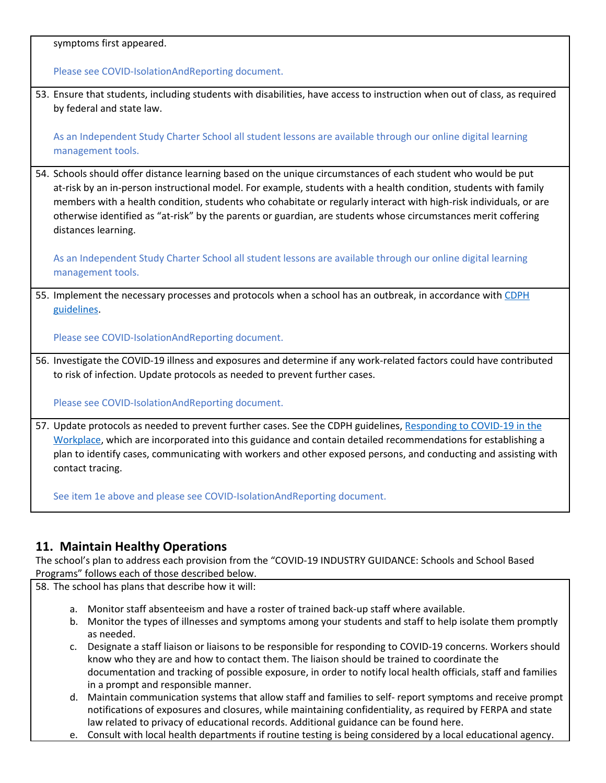symptoms first appeared.

Please see COVID-IsolationAndReporting document.

53. Ensure that students, including students with disabilities, have access to instruction when out of class, as required by federal and state law.

As an Independent Study Charter School all student lessons are available through our online digital learning management tools.

54. Schools should offer distance learning based on the unique circumstances of each student who would be put at-risk by an in-person instructional model. For example, students with a health condition, students with family members with a health condition, students who cohabitate or regularly interact with high-risk individuals, or are otherwise identified as "at-risk" by the parents or guardian, are students whose circumstances merit coffering distances learning.

As an Independent Study Charter School all student lessons are available through our online digital learning management tools.

55. Implement the necessary processes and protocols when a school has an outbreak, in accordance with [CDPH](https://www.cdph.ca.gov/Programs/CID/DCDC/Pages/COVID-19/Workplace-Outbreak-Employer-Guidance.aspx) [guidelines](https://www.cdph.ca.gov/Programs/CID/DCDC/Pages/COVID-19/Workplace-Outbreak-Employer-Guidance.aspx).

Please see COVID-IsolationAndReporting document.

56. Investigate the COVID-19 illness and exposures and determine if any work-related factors could have contributed to risk of infection. Update protocols as needed to prevent further cases.

Please see COVID-IsolationAndReporting document.

57. Update protocols as needed to prevent further cases. See the CDPH guidelines, [Responding](https://www.cdph.ca.gov/Programs/CID/DCDC/Pages/COVID-19/Workplace-Outbreak-Employer-Guidance.aspx) to COVID-19 in the [Workplace](https://www.cdph.ca.gov/Programs/CID/DCDC/Pages/COVID-19/Workplace-Outbreak-Employer-Guidance.aspx), which are incorporated into this guidance and contain detailed recommendations for establishing a plan to identify cases, communicating with workers and other exposed persons, and conducting and assisting with contact tracing.

See item 1e above and please see COVID-IsolationAndReporting document.

## **11. Maintain Healthy Operations**

The school's plan to address each provision from the "COVID-19 INDUSTRY GUIDANCE: Schools and School Based Programs" follows each of those described below.

58. The school has plans that describe how it will:

- a. Monitor staff absenteeism and have a roster of trained back-up staff where available.
- b. Monitor the types of illnesses and symptoms among your students and staff to help isolate them promptly as needed.
- c. Designate a staff liaison or liaisons to be responsible for responding to COVID-19 concerns. Workers should know who they are and how to contact them. The liaison should be trained to coordinate the documentation and tracking of possible exposure, in order to notify local health officials, staff and families in a prompt and responsible manner.
- d. Maintain communication systems that allow staff and families to self- report symptoms and receive prompt notifications of exposures and closures, while maintaining confidentiality, as required by FERPA and state law related to privacy of educational records. Additional guidance can be found here.
- e. Consult with local health departments if routine testing is being considered by a local educational agency.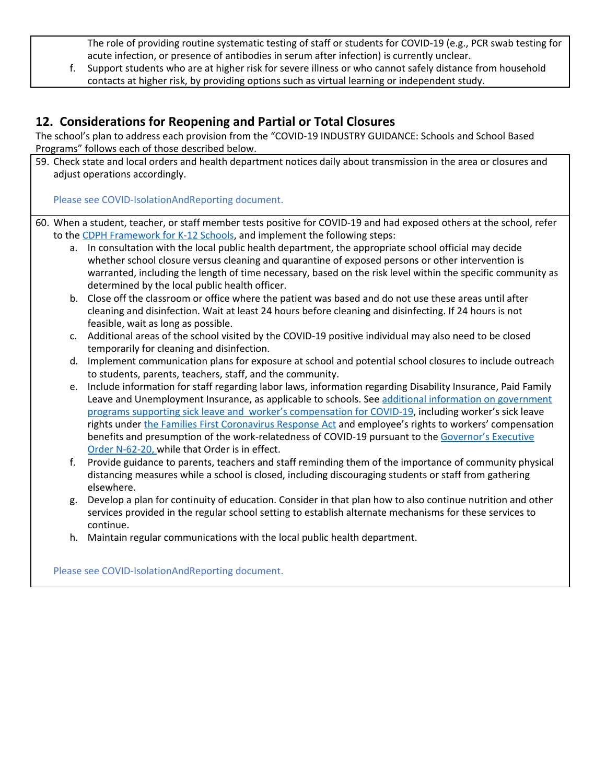The role of providing routine systematic testing of staff or students for COVID-19 (e.g., PCR swab testing for acute infection, or presence of antibodies in serum after infection) is currently unclear.

f. Support students who are at higher risk for severe illness or who cannot safely distance from household contacts at higher risk, by providing options such as virtual learning or independent study.

## **12. Considerations for Reopening and Partial or Total Closures**

The school's plan to address each provision from the "COVID-19 INDUSTRY GUIDANCE: Schools and School Based Programs" follows each of those described below.

59. Check state and local orders and health department notices daily about transmission in the area or closures and adjust operations accordingly.

Please see COVID-IsolationAndReporting document.

60. When a student, teacher, or staff member tests positive for COVID-19 and had exposed others at the school, refer to the CDPH [Framework](https://www.cdph.ca.gov/Programs/CID/DCDC/CDPH%20Document%20Library/COVID-19/Schools%20Reopening%20Recommendations.pdf) for K-12 Schools, and implement the following steps:

- a. In consultation with the local public health department, the appropriate school official may decide whether school closure versus cleaning and quarantine of exposed persons or other intervention is warranted, including the length of time necessary, based on the risk level within the specific community as determined by the local public health officer.
- b. Close off the classroom or office where the patient was based and do not use these areas until after cleaning and disinfection. Wait at least 24 hours before cleaning and disinfecting. If 24 hours is not feasible, wait as long as possible.
- c. Additional areas of the school visited by the COVID-19 positive individual may also need to be closed temporarily for cleaning and disinfection.
- d. Implement communication plans for exposure at school and potential school closures to include outreach to students, parents, teachers, staff, and the community.
- e. Include information for staff regarding labor laws, information regarding Disability Insurance, Paid Family Leave and Unemployment Insurance, as applicable to schools. See additional information on [government](https://www.labor.ca.gov/coronavirus2019/#chart) programs supporting sick leave and worker's [compensation](https://www.labor.ca.gov/coronavirus2019/#chart) for COVID-19, including worker's sick leave rights under the Families First [Coronavirus](https://www.dol.gov/agencies/whd/pandemic/ffcra-employee-paid-leave) Response Act and employee's rights to workers' compensation benefits and presumption of the work-relatedness of COVID-19 pursuant to the [Governor's](https://www.gov.ca.gov/wp-content/uploads/2020/05/5.6.20-EO-N-62-20-text.pdf) Executive Order [N-62-20,](https://www.gov.ca.gov/wp-content/uploads/2020/05/5.6.20-EO-N-62-20-text.pdf) while that Order is in effect.
- f. Provide guidance to parents, teachers and staff reminding them of the importance of community physical distancing measures while a school is closed, including discouraging students or staff from gathering elsewhere.
- g. Develop a plan for continuity of education. Consider in that plan how to also continue nutrition and other services provided in the regular school setting to establish alternate mechanisms for these services to continue.
- h. Maintain regular communications with the local public health department.

Please see COVID-IsolationAndReporting document.